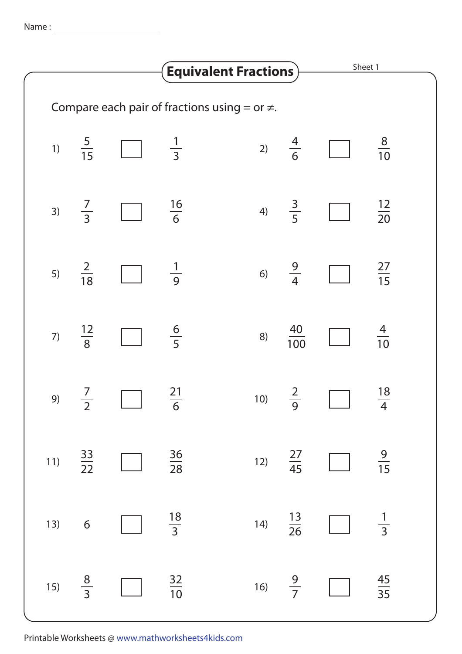